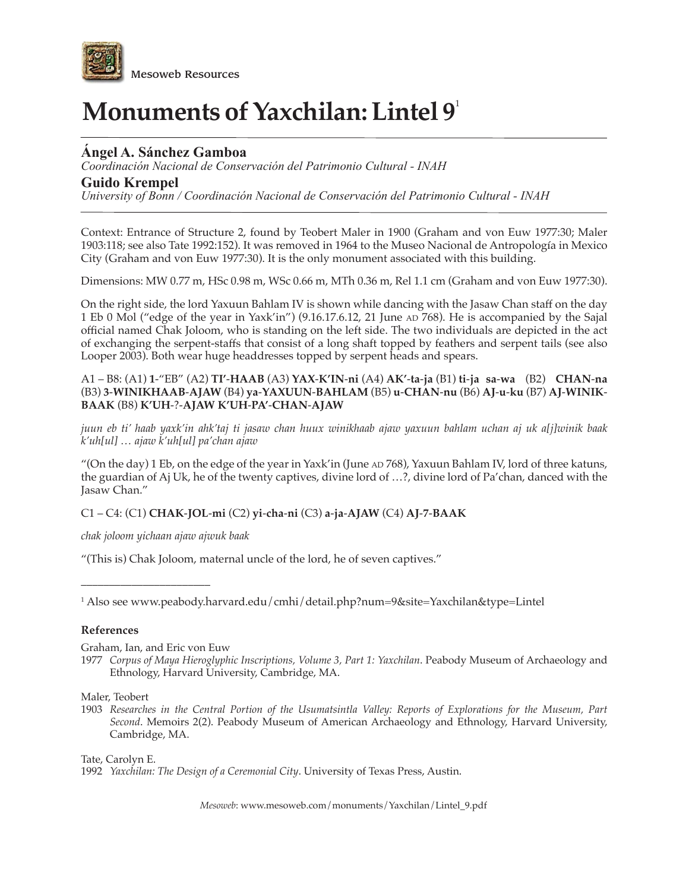

# **Monuments of Yaxchilan: Lintel 9**<sup>1</sup>

## **Ángel A. Sánchez Gamboa**

*Coordinación Nacional de Conservación del Patrimonio Cultural - INAH*

## **Guido Krempel**

*University of Bonn / Coordinación Nacional de Conservación del Patrimonio Cultural - INAH*

Context: Entrance of Structure 2, found by Teobert Maler in 1900 (Graham and von Euw 1977:30; Maler 1903:118; see also Tate 1992:152). It was removed in 1964 to the Museo Nacional de Antropología in Mexico City (Graham and von Euw 1977:30). It is the only monument associated with this building.

Dimensions: MW 0.77 m, HSc 0.98 m, WSc 0.66 m, MTh 0.36 m, Rel 1.1 cm (Graham and von Euw 1977:30).

On the right side, the lord Yaxuun Bahlam IV is shown while dancing with the Jasaw Chan staff on the day 1 Eb 0 Mol ("edge of the year in Yaxk'in") (9.16.17.6.12, 21 June AD 768). He is accompanied by the Sajal official named Chak Joloom, who is standing on the left side. The two individuals are depicted in the act of exchanging the serpent-staffs that consist of a long shaft topped by feathers and serpent tails (see also Looper 2003). Both wear huge headdresses topped by serpent heads and spears.

A1 – B8: (A1) **1**-"EB" (A2) **TI'**-**HAAB** (A3) **YAX**-**K'IN**-**ni** (A4) **AK'**-**ta**-**ja** (B1) **ti**-**ja sa**-**wa** (B2) **CHAN**-**na** (B3) **3**-**WINIKHAAB**-**AJAW** (B4) **ya**-**YAXUUN**-**BAHLAM** (B5) **u**-**CHAN**-**nu** (B6) **AJ**-**u**-**ku** (B7) **AJ**-**WINIK**-**BAAK** (B8) **K'UH**-?-**AJAW K'UH**-**PA'**-**CHAN**-**AJAW**

*juun eb ti' haab yaxk'in ahk'taj ti jasaw chan huux winikhaab ajaw yaxuun bahlam uchan aj uk a[j]winik baak k'uh[ul] … ajaw k'uh[ul] pa'chan ajaw*

"(On the day) 1 Eb, on the edge of the year in Yaxk'in (June  $AD/768$ ), Yaxuun Bahlam IV, lord of three katuns, the guardian of Aj Uk, he of the twenty captives, divine lord of …?, divine lord of Pa'chan, danced with the Jasaw Chan."

### C1 – C4: (C1) **CHAK**-**JOL**-**mi** (C2) **yi**-**cha**-**ni** (C3) **a**-**ja**-**AJAW** (C4) **AJ**-**7**-**BAAK**

*chak joloom yichaan ajaw ajwuk baak*

"(This is) Chak Joloom, maternal uncle of the lord, he of seven captives."

1 Also see www.peabody.harvard.edu/cmhi/detail.php?num=9&site=Yaxchilan&type=Lintel

#### **References**

Graham, Ian, and Eric von Euw

\_\_\_\_\_\_\_\_\_\_\_\_\_\_\_\_\_\_\_\_\_\_\_

1977 *Corpus of Maya Hieroglyphic Inscriptions, Volume 3, Part 1: Yaxchilan*. Peabody Museum of Archaeology and Ethnology, Harvard University, Cambridge, MA.

Maler, Teobert

1903 *Researches in the Central Portion of the Usumatsintla Valley: Reports of Explorations for the Museum, Part Second*. Memoirs 2(2). Peabody Museum of American Archaeology and Ethnology, Harvard University, Cambridge, MA.

Tate, Carolyn E.

<sup>1992</sup> *Yaxchilan: The Design of a Ceremonial City*. University of Texas Press, Austin.